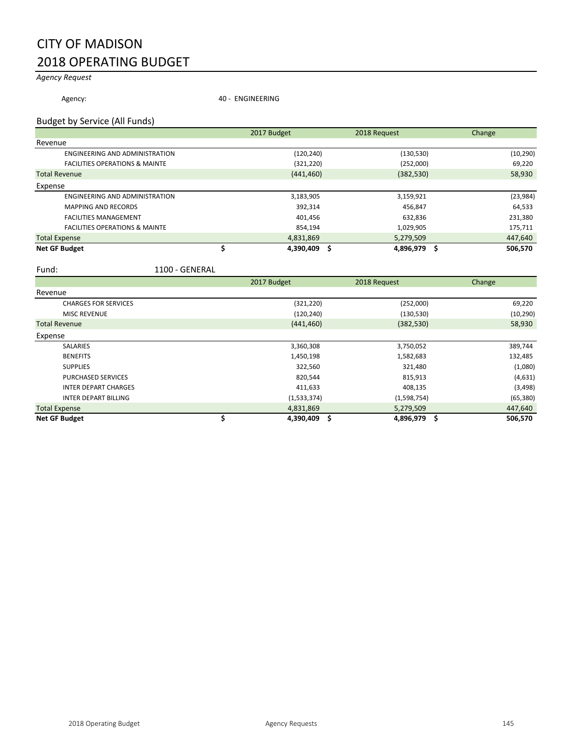## CITY OF MADISON 2018 OPERATING BUDGET

## *Agency Request*

Agency: 40 - ENGINEERING

#### Budget by Service (All Funds)

|                                           | 2017 Budget | 2018 Request | Change         |
|-------------------------------------------|-------------|--------------|----------------|
| Revenue                                   |             |              |                |
| <b>ENGINEERING AND ADMINISTRATION</b>     | (120,240)   | (130, 530)   | (10, 290)      |
| <b>FACILITIES OPERATIONS &amp; MAINTE</b> | (321, 220)  | (252,000)    | 69,220         |
| <b>Total Revenue</b>                      | (441, 460)  | (382, 530)   | 58,930         |
| Expense                                   |             |              |                |
| ENGINEERING AND ADMINISTRATION            | 3,183,905   | 3,159,921    | (23, 984)      |
| <b>MAPPING AND RECORDS</b>                | 392,314     | 456.847      | 64,533         |
| <b>FACILITIES MANAGEMENT</b>              | 401,456     | 632,836      | 231,380        |
| <b>FACILITIES OPERATIONS &amp; MAINTE</b> | 854,194     | 1,029,905    | 175,711        |
| <b>Total Expense</b>                      | 4,831,869   | 5,279,509    | 447,640        |
| <b>Net GF Budget</b>                      | 4,390,409   | 4.896.979    | 506.570<br>- S |

#### Fund: 1100 - GENERAL

|                             | 2017 Budget | 2018 Request | Change         |
|-----------------------------|-------------|--------------|----------------|
| Revenue                     |             |              |                |
| <b>CHARGES FOR SERVICES</b> | (321, 220)  | (252,000)    | 69,220         |
| <b>MISC REVENUE</b>         | (120, 240)  | (130, 530)   | (10, 290)      |
| <b>Total Revenue</b>        | (441, 460)  | (382, 530)   | 58,930         |
| Expense                     |             |              |                |
| <b>SALARIES</b>             | 3,360,308   | 3,750,052    | 389,744        |
| <b>BENEFITS</b>             | 1,450,198   | 1,582,683    | 132,485        |
| <b>SUPPLIES</b>             | 322,560     | 321,480      | (1,080)        |
| <b>PURCHASED SERVICES</b>   | 820,544     | 815,913      | (4,631)        |
| <b>INTER DEPART CHARGES</b> | 411,633     | 408,135      | (3, 498)       |
| <b>INTER DEPART BILLING</b> | (1,533,374) | (1,598,754)  | (65, 380)      |
| <b>Total Expense</b>        | 4,831,869   | 5,279,509    | 447,640        |
| <b>Net GF Budget</b>        | 4,390,409   | 4,896,979    | -\$<br>506,570 |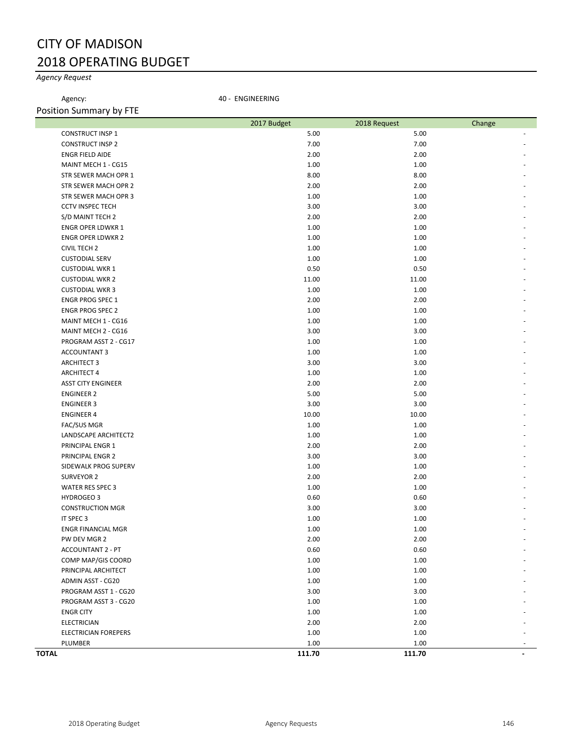## CITY OF MADISON 2018 OPERATING BUDGET

## *Agency Request*

Agency: 40 - ENGINEERING

| Position Summary by FTE     |             |              |        |
|-----------------------------|-------------|--------------|--------|
|                             | 2017 Budget | 2018 Request | Change |
| <b>CONSTRUCT INSP 1</b>     | 5.00        | 5.00         |        |
| <b>CONSTRUCT INSP 2</b>     | 7.00        | 7.00         |        |
| <b>ENGR FIELD AIDE</b>      | 2.00        | 2.00         |        |
| MAINT MECH 1 - CG15         | 1.00        | 1.00         |        |
| STR SEWER MACH OPR 1        | 8.00        | 8.00         |        |
| STR SEWER MACH OPR 2        | 2.00        | 2.00         |        |
| STR SEWER MACH OPR 3        | 1.00        | 1.00         |        |
| <b>CCTV INSPEC TECH</b>     | 3.00        | 3.00         |        |
| S/D MAINT TECH 2            | 2.00        | 2.00         |        |
| <b>ENGR OPER LDWKR 1</b>    | 1.00        | 1.00         |        |
| <b>ENGR OPER LDWKR 2</b>    | 1.00        | 1.00         |        |
| <b>CIVIL TECH 2</b>         | 1.00        | 1.00         |        |
| <b>CUSTODIAL SERV</b>       | 1.00        | 1.00         |        |
| <b>CUSTODIAL WKR 1</b>      | 0.50        | 0.50         |        |
| <b>CUSTODIAL WKR 2</b>      | 11.00       | 11.00        |        |
| <b>CUSTODIAL WKR 3</b>      | 1.00        | 1.00         |        |
| <b>ENGR PROG SPEC 1</b>     | 2.00        | 2.00         |        |
| <b>ENGR PROG SPEC 2</b>     | 1.00        | 1.00         |        |
| MAINT MECH 1 - CG16         | 1.00        | 1.00         |        |
| MAINT MECH 2 - CG16         | 3.00        | 3.00         |        |
| PROGRAM ASST 2 - CG17       | 1.00        | 1.00         |        |
| <b>ACCOUNTANT 3</b>         | 1.00        | 1.00         |        |
| <b>ARCHITECT 3</b>          | 3.00        | 3.00         |        |
| <b>ARCHITECT 4</b>          | 1.00        | 1.00         |        |
| <b>ASST CITY ENGINEER</b>   | 2.00        | 2.00         |        |
| <b>ENGINEER 2</b>           | 5.00        | 5.00         |        |
| <b>ENGINEER 3</b>           | 3.00        | 3.00         |        |
| <b>ENGINEER 4</b>           | 10.00       | 10.00        |        |
| <b>FAC/SUS MGR</b>          | 1.00        | 1.00         |        |
| LANDSCAPE ARCHITECT2        | 1.00        | 1.00         |        |
| PRINCIPAL ENGR 1            | 2.00        | 2.00         |        |
| PRINCIPAL ENGR 2            | 3.00        | 3.00         |        |
| SIDEWALK PROG SUPERV        | 1.00        | 1.00         |        |
| <b>SURVEYOR 2</b>           | 2.00        | 2.00         |        |
| <b>WATER RES SPEC 3</b>     | 1.00        | 1.00         |        |
| HYDROGEO 3                  | 0.60        | 0.60         |        |
| <b>CONSTRUCTION MGR</b>     | 3.00        | 3.00         |        |
| IT SPEC 3                   | 1.00        | 1.00         |        |
| <b>ENGR FINANCIAL MGR</b>   | 1.00        | 1.00         |        |
| PW DEV MGR 2                | 2.00        | 2.00         |        |
| <b>ACCOUNTANT 2 - PT</b>    | 0.60        | 0.60         |        |
| COMP MAP/GIS COORD          | 1.00        | 1.00         |        |
| PRINCIPAL ARCHITECT         | 1.00        | 1.00         |        |
| ADMIN ASST - CG20           | 1.00        | 1.00         |        |
| PROGRAM ASST 1 - CG20       | 3.00        | 3.00         |        |
| PROGRAM ASST 3 - CG20       | 1.00        | 1.00         |        |
| <b>ENGR CITY</b>            | 1.00        | 1.00         |        |
| <b>ELECTRICIAN</b>          | 2.00        | 2.00         |        |
| <b>ELECTRICIAN FOREPERS</b> | 1.00        | 1.00         |        |
| PLUMBER                     | 1.00        | 1.00         |        |
| <b>TOTAL</b>                | 111.70      | 111.70       |        |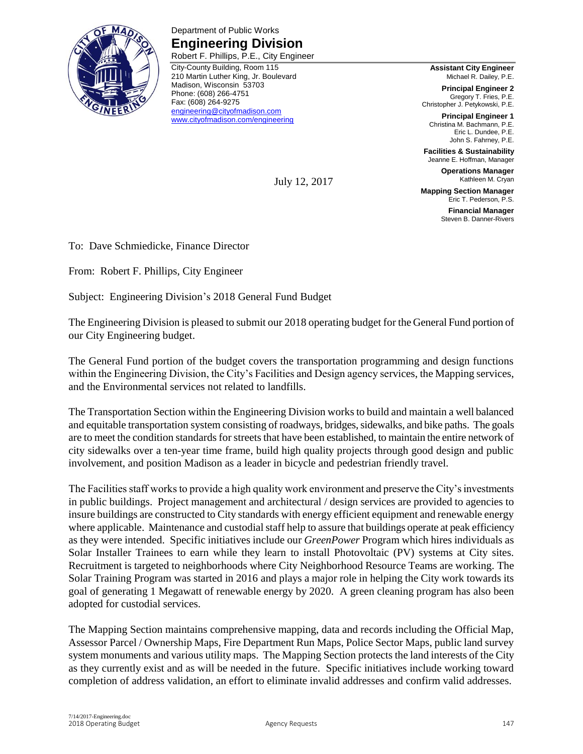

Department of Public Works **Engineering Division** Robert F. Phillips, P.E., City Engineer

City-County Building, Room 115 210 Martin Luther King, Jr. Boulevard Madison, Wisconsin 53703 Phone: (608) 266-4751 Fax: (608) 264-9275 [engineering@cityofmadison.com](mailto:engineering@cityofmadison.com) [www.cityofmadison.com/engineering](http://www.cityofmadison.com/engineering)

**Assistant City Engineer** Michael R. Dailey, P.E.

**Principal Engineer 2** Gregory T. Fries, P.E. Christopher J. Petykowski, P.E.

**Principal Engineer 1** Christina M. Bachmann, P.E. Eric L. Dundee, P.E. John S. Fahrney, P.E.

**Facilities & Sustainability** Jeanne E. Hoffman, Manager

**Operations Manager** Kathleen M. Cryan

**Mapping Section Manager** Eric T. Pederson, P.S.

> **Financial Manager** Steven B. Danner-Rivers

To: Dave Schmiedicke, Finance Director

From: Robert F. Phillips, City Engineer

Subject: Engineering Division's 2018 General Fund Budget

The Engineering Division is pleased to submit our 2018 operating budget for the General Fund portion of our City Engineering budget.

July 12, 2017

The General Fund portion of the budget covers the transportation programming and design functions within the Engineering Division, the City's Facilities and Design agency services, the Mapping services, and the Environmental services not related to landfills.

The Transportation Section within the Engineering Division works to build and maintain a well balanced and equitable transportation system consisting of roadways, bridges, sidewalks, and bike paths. The goals are to meet the condition standards for streets that have been established, to maintain the entire network of city sidewalks over a ten-year time frame, build high quality projects through good design and public involvement, and position Madison as a leader in bicycle and pedestrian friendly travel.

The Facilities staff works to provide a high quality work environment and preserve the City's investments in public buildings. Project management and architectural / design services are provided to agencies to insure buildings are constructed to City standards with energy efficient equipment and renewable energy where applicable. Maintenance and custodial staff help to assure that buildings operate at peak efficiency as they were intended. Specific initiatives include our *GreenPower* Program which hires individuals as Solar Installer Trainees to earn while they learn to install Photovoltaic (PV) systems at City sites. Recruitment is targeted to neighborhoods where City Neighborhood Resource Teams are working. The Solar Training Program was started in 2016 and plays a major role in helping the City work towards its goal of generating 1 Megawatt of renewable energy by 2020. A green cleaning program has also been adopted for custodial services.

The Mapping Section maintains comprehensive mapping, data and records including the Official Map, Assessor Parcel / Ownership Maps, Fire Department Run Maps, Police Sector Maps, public land survey system monuments and various utility maps. The Mapping Section protects the land interests of the City as they currently exist and as will be needed in the future. Specific initiatives include working toward completion of address validation, an effort to eliminate invalid addresses and confirm valid addresses.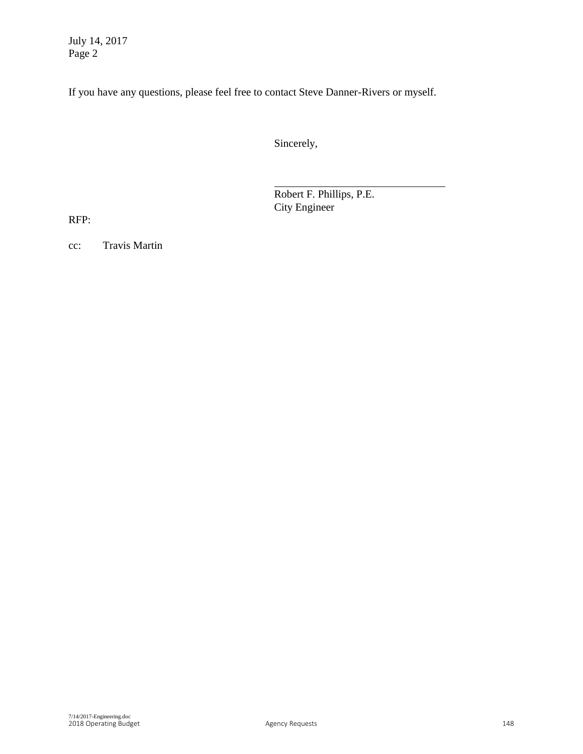July 14, 2017 Page 2

If you have any questions, please feel free to contact Steve Danner-Rivers or myself.

Sincerely,

Robert F. Phillips, P.E. City Engineer

RFP:

cc: Travis Martin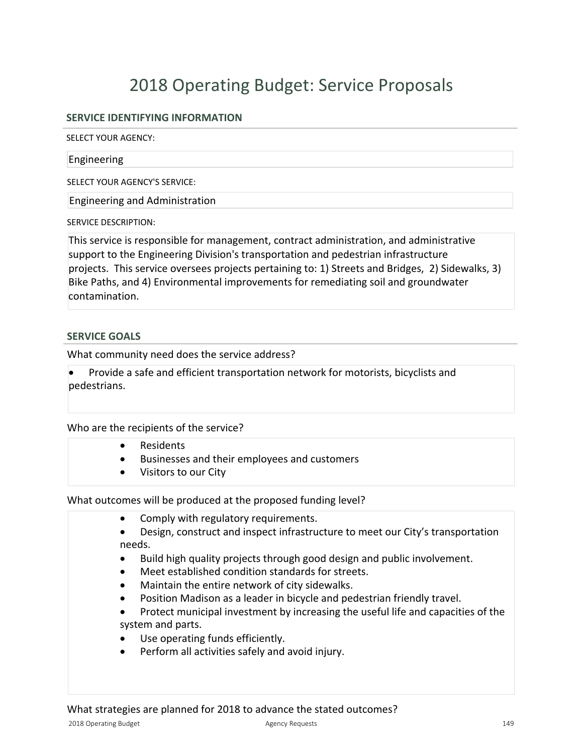## **SERVICE IDENTIFYING INFORMATION**

SELECT YOUR AGENCY:

#### Engineering

SELECT YOUR AGENCY'S SERVICE:

Engineering and Administration

SERVICE DESCRIPTION:

This service is responsible for management, contract administration, and administrative support to the Engineering Division's transportation and pedestrian infrastructure projects. This service oversees projects pertaining to: 1) Streets and Bridges, 2) Sidewalks, 3) Bike Paths, and 4) Environmental improvements for remediating soil and groundwater contamination.

### **SERVICE GOALS**

What community need does the service address?

Provide a safe and efficient transportation network for motorists, bicyclists and pedestrians.

### Who are the recipients of the service?

- Residents
- Businesses and their employees and customers
- Visitors to our City

What outcomes will be produced at the proposed funding level?

- Comply with regulatory requirements.
- Design, construct and inspect infrastructure to meet our City's transportation needs.
- Build high quality projects through good design and public involvement.
- Meet established condition standards for streets.
- $\bullet$  Maintain the entire network of city sidewalks.
- Position Madison as a leader in bicycle and pedestrian friendly travel.
- Protect municipal investment by increasing the useful life and capacities of the system and parts.
- Use operating funds efficiently.
- Perform all activities safely and avoid injury.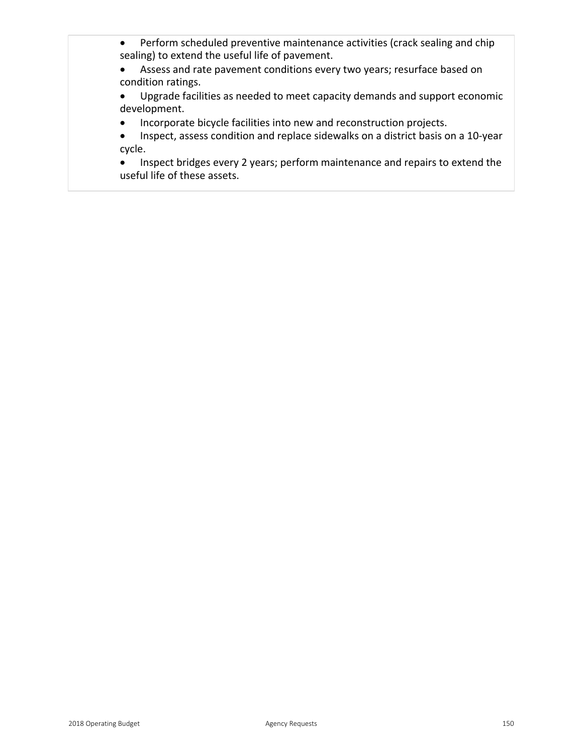- Perform scheduled preventive maintenance activities (crack sealing and chip sealing) to extend the useful life of pavement.
- Assess and rate pavement conditions every two years; resurface based on condition ratings.
- Upgrade facilities as needed to meet capacity demands and support economic development.
- Incorporate bicycle facilities into new and reconstruction projects.
- Inspect, assess condition and replace sidewalks on a district basis on a 10-year cycle.
- Inspect bridges every 2 years; perform maintenance and repairs to extend the useful life of these assets.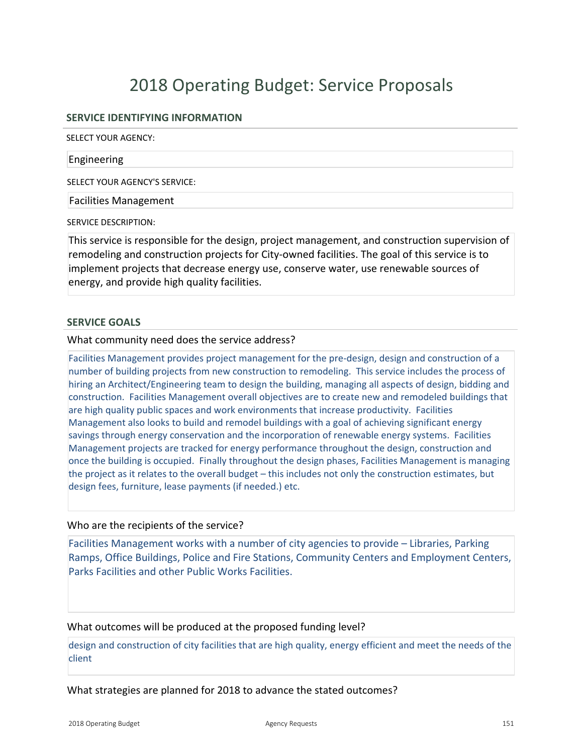### **SERVICE IDENTIFYING INFORMATION**

SELECT YOUR AGENCY:

#### Engineering

SELECT YOUR AGENCY'S SERVICE:

Facilities Management

SERVICE DESCRIPTION:

This service is responsible for the design, project management, and construction supervision of remodeling and construction projects for City-owned facilities. The goal of this service is to implement projects that decrease energy use, conserve water, use renewable sources of energy, and provide high quality facilities.

#### **SERVICE GOALS**

What community need does the service address?

Facilities Management provides project management for the predesign, design and construction of a number of building projects from new construction to remodeling. This service includes the process of hiring an Architect/Engineering team to design the building, managing all aspects of design, bidding and construction. Facilities Management overall objectives are to create new and remodeled buildings that are high quality public spaces and work environments that increase productivity. Facilities Management also looks to build and remodel buildings with a goal of achieving significant energy savings through energy conservation and the incorporation of renewable energy systems. Facilities Management projects are tracked for energy performance throughout the design, construction and once the building is occupied. Finally throughout the design phases, Facilities Management is managing the project as it relates to the overall budget – this includes not only the construction estimates, but design fees, furniture, lease payments (if needed.) etc.

#### Who are the recipients of the service?

Facilities Management works with a number of city agencies to provide – Libraries, Parking Ramps, Office Buildings, Police and Fire Stations, Community Centers and Employment Centers, Parks Facilities and other Public Works Facilities.

#### What outcomes will be produced at the proposed funding level?

design and construction of city facilities that are high quality, energy efficient and meet the needs of the client

What strategies are planned for 2018 to advance the stated outcomes?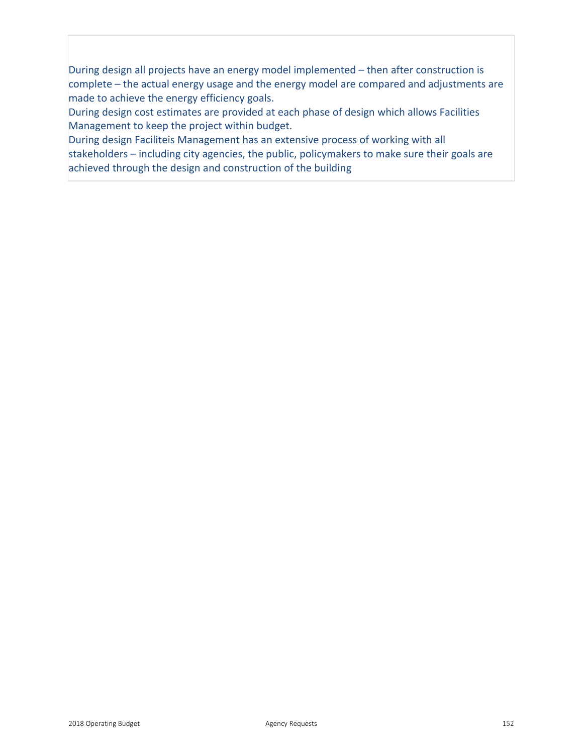During design all projects have an energy model implemented – then after construction is complete – the actual energy usage and the energy model are compared and adjustments are made to achieve the energy efficiency goals.

During design cost estimates are provided at each phase of design which allows Facilities Management to keep the project within budget.

During design Faciliteis Management has an extensive process of working with all stakeholders – including city agencies, the public, policymakers to make sure their goals are achieved through the design and construction of the building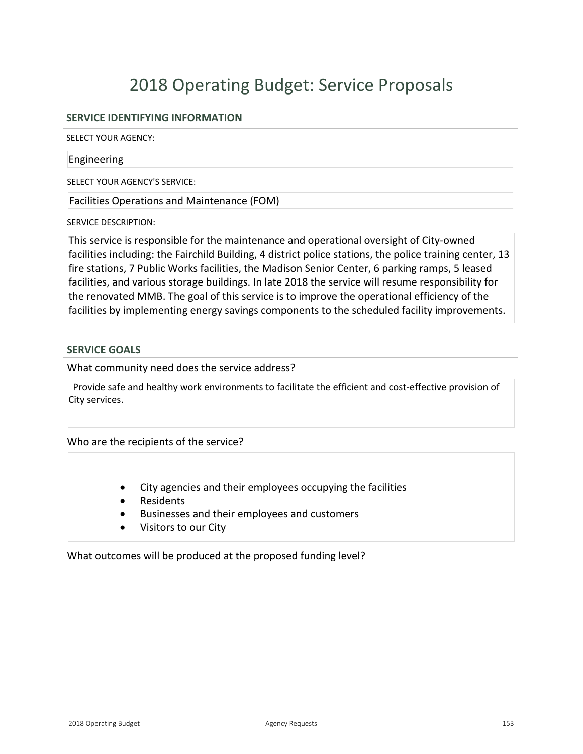## **SERVICE IDENTIFYING INFORMATION**

SELECT YOUR AGENCY:

#### Engineering

SELECT YOUR AGENCY'S SERVICE:

Facilities Operations and Maintenance (FOM)

SERVICE DESCRIPTION:

This service is responsible for the maintenance and operational oversight of City-owned facilities including: the Fairchild Building, 4 district police stations, the police training center, 13 fire stations, 7 Public Works facilities, the Madison Senior Center, 6 parking ramps, 5 leased facilities, and various storage buildings. In late 2018 the service will resume responsibility for the renovated MMB. The goal of this service is to improve the operational efficiency of the facilities by implementing energy savings components to the scheduled facility improvements.

#### **SERVICE GOALS**

What community need does the service address?

Provide safe and healthy work environments to facilitate the efficient and cost-effective provision of City services.

Who are the recipients of the service?

- City agencies and their employees occupying the facilities
- **Residents**
- **•** Businesses and their employees and customers
- Visitors to our City

What outcomes will be produced at the proposed funding level?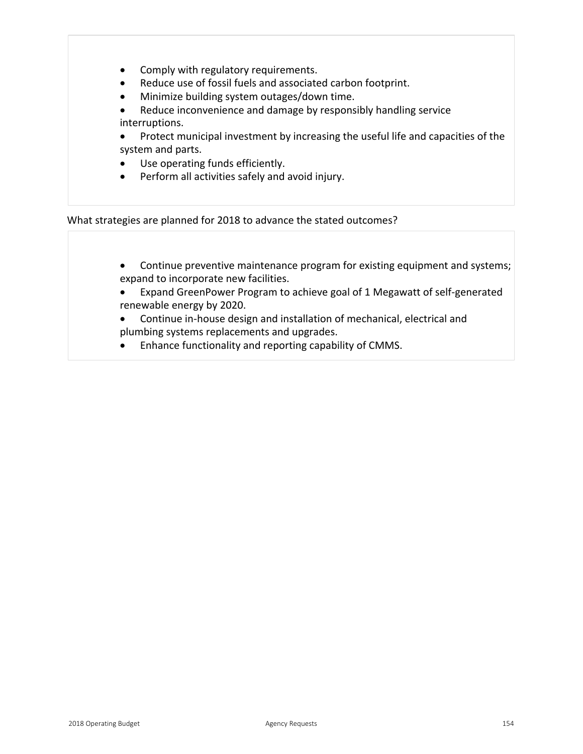- Comply with regulatory requirements.
- Reduce use of fossil fuels and associated carbon footprint.
- Minimize building system outages/down time.
- Reduce inconvenience and damage by responsibly handling service interruptions.
- Protect municipal investment by increasing the useful life and capacities of the system and parts.
- Use operating funds efficiently.
- Perform all activities safely and avoid injury.

What strategies are planned for 2018 to advance the stated outcomes?

- Continue preventive maintenance program for existing equipment and systems; expand to incorporate new facilities.
- Expand GreenPower Program to achieve goal of 1 Megawatt of self-generated renewable energy by 2020.
- Continue in-house design and installation of mechanical, electrical and plumbing systems replacements and upgrades.
- Enhance functionality and reporting capability of CMMS.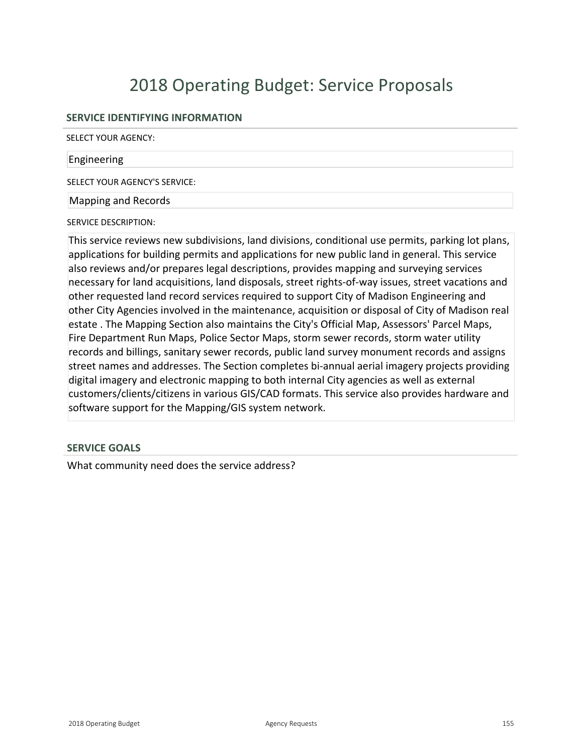## **SERVICE IDENTIFYING INFORMATION**

SELECT YOUR AGENCY:

#### Engineering

SELECT YOUR AGENCY'S SERVICE:

#### Mapping and Records

SERVICE DESCRIPTION:

This service reviews new subdivisions, land divisions, conditional use permits, parking lot plans, applications for building permits and applications for new public land in general. This service also reviews and/or prepares legal descriptions, provides mapping and surveying services necessary for land acquisitions, land disposals, street rights-of-way issues, street vacations and other requested land record services required to support City of Madison Engineering and other City Agencies involved in the maintenance, acquisition or disposal of City of Madison real estate . The Mapping Section also maintains the City's Official Map, Assessors' Parcel Maps, Fire Department Run Maps, Police Sector Maps, storm sewer records, storm water utility records and billings, sanitary sewer records, public land survey monument records and assigns street names and addresses. The Section completes bi-annual aerial imagery projects providing digital imagery and electronic mapping to both internal City agencies as well as external customers/clients/citizens in various GIS/CAD formats. This service also provides hardware and software support for the Mapping/GIS system network.

### **SERVICE GOALS**

What community need does the service address?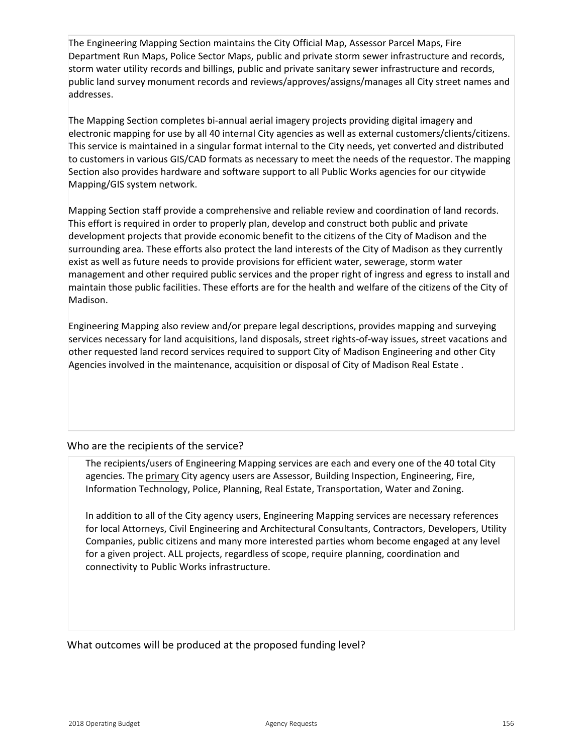The Engineering Mapping Section maintains the City Official Map, Assessor Parcel Maps, Fire Department Run Maps, Police Sector Maps, public and private storm sewer infrastructure and records, storm water utility records and billings, public and private sanitary sewer infrastructure and records, public land survey monument records and reviews/approves/assigns/manages all City street names and addresses.

The Mapping Section completes bi-annual aerial imagery projects providing digital imagery and electronic mapping for use by all 40 internal City agencies as well as external customers/clients/citizens. This service is maintained in a singular format internal to the City needs, yet converted and distributed to customers in various GIS/CAD formats as necessary to meet the needs of the requestor. The mapping Section also provides hardware and software support to all Public Works agencies for our citywide Mapping/GIS system network.

Mapping Section staff provide a comprehensive and reliable review and coordination of land records. This effort is required in order to properly plan, develop and construct both public and private development projects that provide economic benefit to the citizens of the City of Madison and the surrounding area. These efforts also protect the land interests of the City of Madison as they currently exist as well as future needs to provide provisions for efficient water, sewerage, storm water management and other required public services and the proper right of ingress and egress to install and maintain those public facilities. These efforts are for the health and welfare of the citizens of the City of Madison.

Engineering Mapping also review and/or prepare legal descriptions, provides mapping and surveying services necessary for land acquisitions, land disposals, street rights-of-way issues, street vacations and other requested land record services required to support City of Madison Engineering and other City Agencies involved in the maintenance, acquisition or disposal of City of Madison Real Estate .

## Who are the recipients of the service?

The recipients/users of Engineering Mapping services are each and every one of the 40 total City agencies. The primary City agency users are Assessor, Building Inspection, Engineering, Fire, Information Technology, Police, Planning, Real Estate, Transportation, Water and Zoning.

In addition to all of the City agency users, Engineering Mapping services are necessary references for local Attorneys, Civil Engineering and Architectural Consultants, Contractors, Developers, Utility Companies, public citizens and many more interested parties whom become engaged at any level for a given project. ALL projects, regardless of scope, require planning, coordination and connectivity to Public Works infrastructure.

What outcomes will be produced at the proposed funding level?